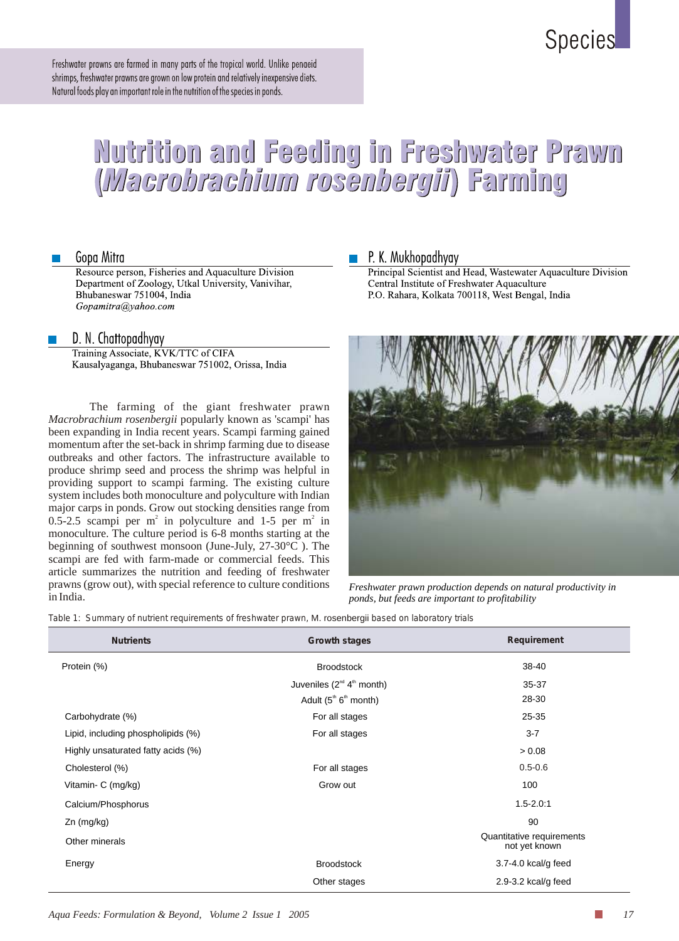# **Species**

Freshwater prawns are farmed in many parts of the tropical world. Unlike penaeid shrimps, freshwater prawns are grown on low protein and relatively inexpensive diets. Natural foods play an important role in the nutrition of the species in ponds.

# Nutrition and Feeding in Freshwater Prawn<br>(Wacrobrachium rosenbergii) Farming

# Gopa Mitra

Resource person, Fisheries and Aquaculture Division Department of Zoology, Utkal University, Vanivihar, Bhubaneswar 751004, India Gopamitra@yahoo.com

# D. N. Chattopadhyay

Training Associate, KVK/TTC of CIFA Kausalyaganga, Bhubaneswar 751002, Orissa, India

The farming of the giant freshwater prawn *Macrobrachium rosenbergii* popularly known as 'scampi' has been expanding in India recent years. Scampi farming gained momentum after the set-back in shrimp farming due to disease outbreaks and other factors. The infrastructure available to produce shrimp seed and process the shrimp was helpful in providing support to scampi farming. The existing culture system includes both monoculture and polyculture with Indian major carps in ponds. Grow out stocking densities range from 0.5-2.5 scampi per  $m^2$  in polyculture and 1-5 per  $m^2$  in monoculture. The culture period is 6-8 months starting at the beginning of southwest monsoon (June-July, 27-30°C ). The scampi are fed with farm-made or commercial feeds. This article summarizes the nutrition and feeding of freshwater prawns (grow out), with special reference to culture conditions in India.

# P. K. Mukhopadhyay

Principal Scientist and Head, Wastewater Aquaculture Division Central Institute of Freshwater Aquaculture P.O. Rahara, Kolkata 700118, West Bengal, India



*Freshwater prawn production depends on natural productivity in ponds, but feeds are important to profitability*

*Table 1*: *Summary of nutrient requirements of freshwater prawn,* M. rosenbergii *based on laboratory trials* 

| <b>Nutrients</b>                   | <b>Growth stages</b>              | <b>Requirement</b>                         |
|------------------------------------|-----------------------------------|--------------------------------------------|
| Protein (%)                        | <b>Broodstock</b>                 | 38-40                                      |
|                                    | Juveniles $(2^{nd} 4^{th}$ month) | 35-37                                      |
|                                    | Adult $(5th 6th$ month)           | 28-30                                      |
| Carbohydrate (%)                   | For all stages                    | $25 - 35$                                  |
| Lipid, including phospholipids (%) | For all stages                    | $3 - 7$                                    |
| Highly unsaturated fatty acids (%) |                                   | > 0.08                                     |
| Cholesterol (%)                    | For all stages                    | $0.5 - 0.6$                                |
| Vitamin- C (mg/kg)                 | Grow out                          | 100                                        |
| Calcium/Phosphorus                 |                                   | $1.5 - 2.0:1$                              |
| $Zn$ (mg/kg)                       |                                   | 90                                         |
| Other minerals                     |                                   | Quantitative requirements<br>not yet known |
| Energy                             | <b>Broodstock</b>                 | $3.7 - 4.0$ kcal/g feed                    |
|                                    | Other stages                      | $2.9 - 3.2$ kcal/g feed                    |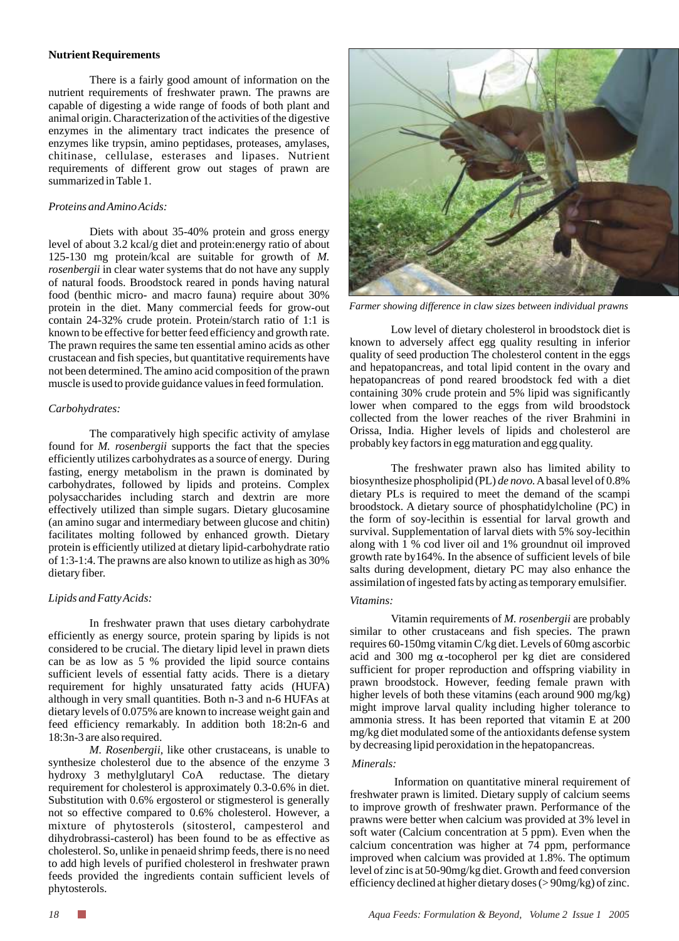#### **Nutrient Requirements**

There is a fairly good amount of information on the nutrient requirements of freshwater prawn. The prawns are capable of digesting a wide range of foods of both plant and animal origin. Characterization of the activities of the digestive enzymes in the alimentary tract indicates the presence of enzymes like trypsin, amino peptidases, proteases, amylases, chitinase, cellulase, esterases and lipases. Nutrient requirements of different grow out stages of prawn are summarized in Table 1.

#### *Proteins and Amino Acids:*

Diets with about 35-40% protein and gross energy level of about 3.2 kcal/g diet and protein:energy ratio of about 125-130 mg protein/kcal are suitable for growth of *M. rosenbergii* in clear water systems that do not have any supply of natural foods. Broodstock reared in ponds having natural food (benthic micro- and macro fauna) require about 30% protein in the diet. Many commercial feeds for grow-out contain 24-32% crude protein. Protein/starch ratio of 1:1 is known to be effective for better feed efficiency and growth rate. The prawn requires the same ten essential amino acids as other crustacean and fish species, but quantitative requirements have not been determined. The amino acid composition of the prawn muscle is used to provide guidance values in feed formulation.

#### *Carbohydrates:*

The comparatively high specific activity of amylase found for *M. rosenbergii* supports the fact that the species efficiently utilizes carbohydrates as a source of energy. During fasting, energy metabolism in the prawn is dominated by carbohydrates, followed by lipids and proteins. Complex polysaccharides including starch and dextrin are more effectively utilized than simple sugars. Dietary glucosamine (an amino sugar and intermediary between glucose and chitin) facilitates molting followed by enhanced growth. Dietary protein is efficiently utilized at dietary lipid-carbohydrate ratio of 1:3-1:4. The prawns are also known to utilize as high as 30% dietary fiber.

#### *Lipids and Fatty Acids:*

In freshwater prawn that uses dietary carbohydrate efficiently as energy source, protein sparing by lipids is not considered to be crucial. The dietary lipid level in prawn diets can be as low as 5 % provided the lipid source contains sufficient levels of essential fatty acids. There is a dietary requirement for highly unsaturated fatty acids (HUFA) although in very small quantities. Both n-3 and n-6 HUFAs at dietary levels of 0.075% are known to increase weight gain and feed efficiency remarkably. In addition both 18:2n-6 and 18:3n-3 are also required.

*M. Rosenbergii,* like other crustaceans*,* is unable to synthesize cholesterol due to the absence of the enzyme 3 hydroxy 3 methylglutaryl CoA reductase. The dietary requirement for cholesterol is approximately 0.3-0.6% in diet. Substitution with 0.6% ergosterol or stigmesterol is generally not so effective compared to 0.6% cholesterol. However, a mixture of phytosterols (sitosterol, campesterol and dihydrobrassi-casterol) has been found to be as effective as cholesterol. So, unlike in penaeid shrimp feeds, there is no need to add high levels of purified cholesterol in freshwater prawn feeds provided the ingredients contain sufficient levels of phytosterols.



*Farmer showing difference in claw sizes between individual prawns* 

Low level of dietary cholesterol in broodstock diet is known to adversely affect egg quality resulting in inferior quality of seed production The cholesterol content in the eggs and hepatopancreas, and total lipid content in the ovary and hepatopancreas of pond reared broodstock fed with a diet containing 30% crude protein and 5% lipid was significantly lower when compared to the eggs from wild broodstock collected from the lower reaches of the river Brahmini in Orissa, India. Higher levels of lipids and cholesterol are probably key factors in egg maturation and egg quality.

The freshwater prawn also has limited ability to biosynthesize phospholipid (PL) *de novo.*Abasal level of 0.8% dietary PLs is required to meet the demand of the scampi broodstock. A dietary source of phosphatidylcholine (PC) in the form of soy-lecithin is essential for larval growth and survival. Supplementation of larval diets with 5% soy-lecithin along with 1 % cod liver oil and 1% groundnut oil improved growth rate by164%. In the absence of sufficient levels of bile salts during development, dietary PC may also enhance the assimilation of ingested fats by acting as temporary emulsifier.

#### *Vitamins:*

Vitamin requirements of *M. rosenbergii* are probably similar to other crustaceans and fish species. The prawn requires 60-150mg vitamin C/kg diet. Levels of 60mg ascorbic acid and 300 mg  $\alpha$ -tocopherol per kg diet are considered sufficient for proper reproduction and offspring viability in prawn broodstock. However, feeding female prawn with higher levels of both these vitamins (each around 900 mg/kg) might improve larval quality including higher tolerance to ammonia stress. It has been reported that vitamin E at 200 mg/kg diet modulated some of the antioxidants defense system by decreasing lipid peroxidation in the hepatopancreas.

#### *Minerals:*

Information on quantitative mineral requirement of freshwater prawn is limited. Dietary supply of calcium seems to improve growth of freshwater prawn. Performance of the prawns were better when calcium was provided at 3% level in soft water (Calcium concentration at 5 ppm). Even when the calcium concentration was higher at 74 ppm, performance improved when calcium was provided at 1.8%. The optimum level of zinc is at 50-90mg/kg diet. Growth and feed conversion efficiency declined at higher dietary doses (> 90mg/kg) of zinc.